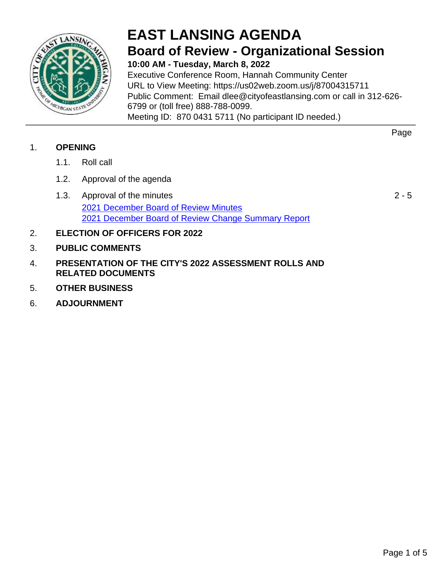

## **EAST LANSING AGENDA Board of Review - Organizational Session 10:00 AM - Tuesday, March 8, 2022**

Executive Conference Room, Hannah Community Center URL to View Meeting: https://us02web.zoom.us/j/87004315711 Public Comment: Email dlee@cityofeastlansing.com or call in 312-626- 6799 or (toll free) 888-788-0099. Meeting ID: 870 0431 5711 (No participant ID needed.)

## 1. **OPENING**

- 1.1. Roll call
- 1.2. Approval of the agenda
- 1.3. Approval of the minutes [2021 December Board of Review Minutes](#page-1-0) [2021 December Board of Review Change Summary Report](#page-2-0)
- 2. **ELECTION OF OFFICERS FOR 2022**
- 3. **PUBLIC COMMENTS**
- 4. **PRESENTATION OF THE CITY'S 2022 ASSESSMENT ROLLS AND RELATED DOCUMENTS**
- 5. **OTHER BUSINESS**
- 6. **ADJOURNMENT**

 $2 - 5$ 

Page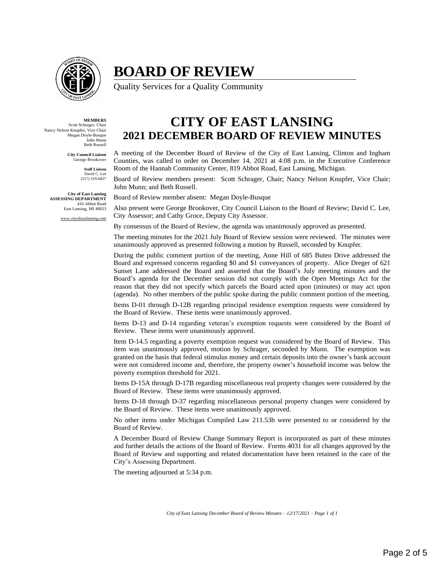<span id="page-1-0"></span>

## **BOARD OF REVIEW**

Quality Services for a Quality Community

**MEMBERS** Scott Schrager, Chair Nancy Nelson Knupfer, Vice Chair Megan Doyle-Busque John Munn Beth Russell

> **City Council Liaison** George Brookover

> > **Staff Liaison** David C. Lee (517) 319-6827

**City of East Lansing ASSESSING DEPARTMENT** 410 Abbot Road East Lansing, MI 48823

www.cityofeastlansing.com

**CITY OF EAST LANSING 2021 DECEMBER BOARD OF REVIEW MINUTES**

A meeting of the December Board of Review of the City of East Lansing, Clinton and Ingham Counties, was called to order on December 14, 2021 at 4:08 p.m. in the Executive Conference Room of the Hannah Community Center, 819 Abbot Road, East Lansing, Michigan.

Board of Review members present: Scott Schrager, Chair; Nancy Nelson Knupfer, Vice Chair; John Munn; and Beth Russell.

Board of Review member absent: Megan Doyle-Busque

Also present were George Brookover, City Council Liaison to the Board of Review; David C. Lee, City Assessor; and Cathy Groce, Deputy City Assessor.

By consensus of the Board of Review, the agenda was unanimously approved as presented.

The meeting minutes for the 2021 July Board of Review session were reviewed. The minutes were unanimously approved as presented following a motion by Russell, seconded by Knupfer.

During the public comment portion of the meeting, Anne Hill of 685 Buteo Drive addressed the Board and expressed concerns regarding \$0 and \$1 conveyances of property. Alice Dreger of 621 Sunset Lane addressed the Board and asserted that the Board's July meeting minutes and the Board's agenda for the December session did not comply with the Open Meetings Act for the reason that they did not specify which parcels the Board acted upon (minutes) or may act upon (agenda). No other members of the public spoke during the public comment portion of the meeting.

Items D-01 through D-12B regarding principal residence exemption requests were considered by the Board of Review. These items were unanimously approved.

Items D-13 and D-14 regarding veteran's exemption requests were considered by the Board of Review. These items were unanimously approved.

Item D-14.5 regarding a poverty exemption request was considered by the Board of Review. This item was unanimously approved, motion by Schrager, seconded by Munn. The exemption was granted on the basis that federal stimulus money and certain deposits into the owner's bank account were not considered income and, therefore, the property owner's household income was below the poverty exemption threshold for 2021.

Items D-15A through D-17B regarding miscellaneous real property changes were considered by the Board of Review. These items were unanimously approved.

Items D-18 through D-37 regarding miscellaneous personal property changes were considered by the Board of Review. These items were unanimously approved.

No other items under Michigan Compiled Law 211.53b were presented to or considered by the Board of Review.

A December Board of Review Change Summary Report is incorporated as part of these minutes and further details the actions of the Board of Review. Forms 4031 for all changes approved by the Board of Review and supporting and related documentation have been retained in the care of the City's Assessing Department.

The meeting adjourned at 5:34 p.m.

*City of East Lansing December Board of Review Minutes – 12/17/2021 – Page 1 of 1*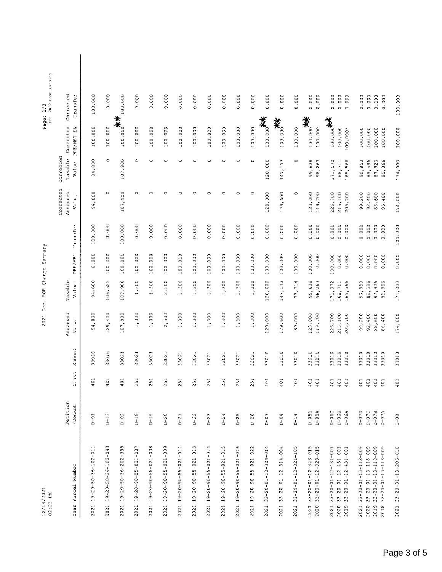<span id="page-2-0"></span>

| 12/14/2021<br>02:21 PM                                                              |                        |            |                |                    | 2021 Dec. BOR Change Summary |                |                |                                |                               |                         | DB: 2022 East Lansing<br>Page: 1/3 |  |
|-------------------------------------------------------------------------------------|------------------------|------------|----------------|--------------------|------------------------------|----------------|----------------|--------------------------------|-------------------------------|-------------------------|------------------------------------|--|
| Year Parcel Number                                                                  | Petition<br>/Docket    | Class      | School         | Assessed<br>Value  | Taxable<br>Value             | PRE/MBT        | Transfer       | Corrected<br>Assessed<br>Value | Corrected<br>Taxable<br>Value | Corrected<br>PRE/MBT EX | Corrected<br>Transfer              |  |
| 2021 19-20-50-36-102-011                                                            | $D-01$                 | 401        | 33016          | 94,800             | 94,800                       | 0.000          | 100.000        | 94,800                         | 94,800                        | 100.000                 | 100.000                            |  |
| 2021 19-20-50-36-102-043                                                            | $D-13$                 | 401        | 33016          | 129,400            | 106,525                      | 100.000        | 0.000          | $\circ$                        | $\circ$                       | 100.000                 | 0.000                              |  |
| 19-20-36-36-202-388<br>2021                                                         | $D-0.2$                | 401        | 33021          | 107,900            | 107,900                      | 100.000        | 100.000        | 107,900                        | 107,900                       | <b>★★</b><br>100.000    | 100.000                            |  |
| $2021$ $19 - 20 - 90 - 55 - 021 - 007$                                              | $D-18$                 | 251        | 33021          | 1,300              | 1,300                        | 100.000        | 0.000          | O                              | $\circ$                       | 100.000                 | 0.000                              |  |
| 19-20-55-55-021-008<br>2021                                                         | $D - 19$               | 251        | 33021          | 1,300              | 1,300                        | 100.000        | 0.000          | $\circ$                        | $\circ$                       | 100.000                 | 0.000                              |  |
| 2021 19-20-90-55-021-009                                                            | $D - 20$               | 251        | 33021          | 2,500              | 2,500                        | 100.000        | 0.000          | $\circ$                        | $\circ$                       | 100.000                 | 0.000                              |  |
| 19-20-55-55-021-011<br>2021                                                         | $D - 21$               | 251        | 33021          | 1,300              | 1,300                        | 100.000        | 0.000          | $\circ$                        | $\circ$                       | 100.000                 | 0.000                              |  |
| $19 - 20 - 90 - 55 - 021 - 013$<br>2021                                             | $D - 22$               | 251        | 33021          | 1,300              | 1,300                        | 100.000        | 0.000          | O                              | $\circ$                       | 100.000                 | 0.000                              |  |
| $19 - 20 - 55 - 021 - 014$<br>2021                                                  | $D-23$                 | 251        | 33021          | 1,300              | 1,300                        | 100.000        | 0.000          | $\circ$                        | $\circ$                       | 100.000                 | 0.000                              |  |
| 19-20-90-55-021-015<br>2021                                                         | $D - 24$               | 251        | 33021          | 1,300              | 1,300                        | 100.000        | 0.000          | $\circ$                        | $\circ$                       | 100.000                 | 0.000                              |  |
| $19 - 20 - 55 - 021 - 016$<br>2021                                                  | $D - 25$               | 251        | 33021          | 1,300              | 1,300                        | 100.000        | 0.000          | $\circ$                        | $\circ$                       | 100.000                 | 0.000                              |  |
| $19 - 20 - 55 - 621 - 022$<br>2021                                                  | $D - 26$               | 251        | 33021          | 1,300              | 1,300                        | 100.000        | 0.000          | $\circ$                        | $\circ$                       | 100.000                 | 0.000                              |  |
| $33 - 20 - 01 - 12 - 304 - 014$<br>2021                                             | $D - 03$               | 401        | 33010          | 120,000            | 120,000                      | 100.000        | 0.000          | 120,000                        | 120,000                       | 100.000                 | 0.000                              |  |
| $33 - 20 - 01 - 12 - 314 - 004$<br>2021                                             | $D - 0.4$              | 401        | 33010          | 179,600            | 147, 173                     | 100.000        | 0.000          | 179,600                        | 147,173                       | 类。                      | 0.000                              |  |
| $33 - 20 - 01 - 12 - 321 - 105$<br>2021                                             | $D-14$                 | 401        | 33010          | 89,000             | 77,714                       | 100.000        | 0.000          | $\circ$                        | $\circ$                       | 100.000                 | 0.000                              |  |
| ທ<br>$33 - 20 - 01 - 12 - 323 - 01$<br>2021                                         | $D - 0.5B$             | 401        | 33010          | 123,000            | 99,638                       | 100.000        | 0.000          | 123,000                        | 99,638                        | 100.000                 | 0.000<br>茶                         |  |
| $33 - 20 - 01 - 12 - 323 - 015$<br>2020                                             | $D-0.5A$               | 401        | 33010          | 119,700            | 98,263                       | 0.000          | 0.000          | 119,700                        | 98,263                        | 100.000                 | 0.000                              |  |
| $33 - 20 - 12 - 12 - 431 - 001$<br>2021                                             | $D - 06C$              | 401        | 33010          | 226,700            | 171,072                      | 100.000        | 0.000          | 226,700                        | 171,072                       | 100.000***              | 0.000                              |  |
| $33 - 20 - 01 - 12 - 431 - 001$<br>$33 - 20 - 121 - 12 - 131 - 001$<br>2020<br>2019 | $D - 06B$<br>$D-06A$   | 401<br>401 | 33010<br>33010 | 215,100<br>205,700 | 165,566<br>168,711           | 0.000<br>0.000 | 0.000<br>0.000 | 215,100<br>205,700             | 165,566<br>168,711            | 100.000<br>100.000*     | 0.000<br>0.000                     |  |
|                                                                                     |                        |            |                |                    |                              |                |                |                                |                               |                         |                                    |  |
| $33 - 20 - 01 - 13 - 13 - 009$<br>$33 - 20 - 1 - 13 - 18 - 009$<br>2020<br>2021     | $D - 07D$              | 401        | 33010          | 99,200             | 90,850                       | 0.000          | 0.000          | 99,200                         | 90,850                        | 100.000                 | 0.000                              |  |
| $33 - 20 - 01 - 13 - 118 - 009$<br>2019                                             | $D - 07B$<br>$D - 07C$ | 401<br>401 | 33010<br>33010 | 92,400<br>88,600   | 89,596<br>87,926             | 0.000<br>0.000 | 0.000<br>0.000 | 92,400<br>88,600               | 89,596<br>87,926              | 100.000<br>100.000      | 0.000<br>0.000                     |  |
| $33 - 20 - 01 - 13 - 18 - 009$<br>2018                                              | $D - 07A$              | 401        | 33010          | 86,400             | 85,866                       | 0.000          | 0.000          | 86,400                         | 85,866                        | 100.000                 | 0.000                              |  |
| $33 - 20 - 01 - 13 - 206 - 010$<br>2021                                             | $D - 0.8$              | 401        | 33010          | 174,000            | 174,000                      | 0.000          | 100.000        | 174,000                        | 174,000                       | 100.000                 | 100.000                            |  |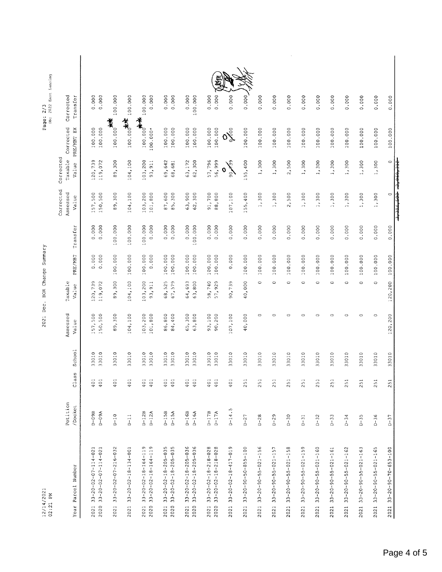| 12/14/2021<br>02:21 PM                                                             |                          |               |                | Dec.<br>2021       |                    | BOR Change Summary |                  |                                |                               |                            | 2022 East Lansing<br>Page: 2/3<br>$\ddot{a}$ |  |
|------------------------------------------------------------------------------------|--------------------------|---------------|----------------|--------------------|--------------------|--------------------|------------------|--------------------------------|-------------------------------|----------------------------|----------------------------------------------|--|
| Parcel Number<br>Year                                                              | Petition<br>/Docket      | Class         | School         | Assessed<br>Value  | Taxable<br>Value   | PRE/MBT            | Transfer         | Corrected<br>Assessed<br>Value | Corrected<br>Taxable<br>Value | Corrected<br>PRE/MBT EX    | Corrected<br>Transfer                        |  |
| $33 - 20 - 02 - 07 - 114 - 021$<br>$33 - 20 - 02 - 07 - 114 - 021$<br>2020<br>2021 | $D - 0.9B$<br>$D - 0.9A$ | 401<br>401    | 33010<br>33010 | 157,500<br>150,500 | 120,739<br>119,072 | 0.000<br>0.000     | 0.000<br>0.000   | 150,500<br>157,500             | 120,739<br>119,072            | 100.000<br>100.000         | 0.000<br>0.000                               |  |
| 33-20-02-77-216-052<br>2021                                                        | $D - 10$                 | $\frac{1}{9}$ | 33010          | 89,300             | 89,300             | 100.000            | 100.000          | 89,300                         | 89,300                        | 100.000 <del>//*</del>     | 100.000                                      |  |
| $33 - 20 - 02 - 18 - 134 - 001$<br>2021                                            | $D-11$                   | 401           | 33010          | 104,100            | 104,100            | 100.000            | 100.000          | 104,100                        | 104,100                       | 100.000                    | 100.000                                      |  |
| 33-20-20-2-181-164-19<br>$33 - 20 - 02 - 18 - 164 - 119$<br>2020<br>2021           | $D - 12B$<br>$D-12A$     | 401<br>401    | 33010<br>33010 | 103,200<br>101,800 | 103,200<br>93,911  | 100.000<br>0.000   | 100.000<br>0.000 | 103,200<br>101,800             | 103,200<br>93, 911            | $*$<br>100.000*            | 100.000<br>0.000                             |  |
| $33 - 20 - 02 - 18 - 205 - 035$<br>33-20-02-18-205-035<br>2021<br>2020             | $D-15B$<br>$D-15A$       | 401<br>401    | 33010<br>33010 | 86,800<br>84,400   | 67,579<br>68,525   | 100.000<br>100.000 | 0.000<br>0.000   | 87,600<br>85,300               | 69,642<br>68,681              | 100.000<br>100.000         | 0.000<br>0.000                               |  |
| $33 - 20 - 02 - 18 - 205 - 036$<br>$33 - 20 - 02 - 18 - 205 - 036$<br>2021<br>2020 | $D - 16B$<br>$D - 16A$   | 401<br>401    | 33010<br>33010 | 65,300<br>63,800   | 64,693<br>63,800   | 100.000<br>100.000 | 0.000<br>100.000 | 63,900<br>62,300               | 62,300<br>63,172              | 100.000<br>100.000         | 0.000<br>100.000                             |  |
| $33 - 20 - 02 - 18 - 218 - 028$<br>$33 - 20 - 02 - 18 - 218 - 028$<br>2021<br>2020 | $D - 17B$<br>$D-17A$     | 401<br>401    | 33010<br>33010 | 93,100<br>90,200   | 57,929<br>58,740   | 100.000<br>100.000 | 0.000<br>0.000   | 91,700<br>88,800               | 57,796<br>56,999              | 100.000<br>100.000         | 0.000<br>0.000                               |  |
| 33-20-20-31-417-019<br>2021                                                        | $0 - 14.5$               | $\frac{1}{2}$ | 33010          | 107,100            | 90,739             | 0.000              | 0.000            | 107,100                        | 90139<br>O                    | $\mathring{\mathcal{S}}$ 0 | 0.000                                        |  |
| $33 - 20 - 90 - 50 - 855 - 100$<br>2021                                            | $D - 27$                 | 251           | 33010          | 40,000             | 40,000             | 100.000            | 0.000            | 155,400                        | 55,400<br>ł.                  | 100.000                    | 0.000                                        |  |
| $33 - 20 - 90 - 55 - 021 - 156$<br>2021                                            | $D - 28$                 | 251           | 33010          | $\circ$            | $\circ$            | 100.000            | 0.000            | 1,300                          | 1,300                         | 100.000                    | 0.000                                        |  |
| $33 - 20 - 90 - 55 - 021 - 157$<br>2021                                            | $D - 29$                 | 251           | 33010          | $\circ$            | O                  | 100.000            | 0.000            | 1,300                          | 1,300                         | 100.000                    | 0.000                                        |  |
| $33 - 20 - 90 - 55 - 021 - 158$<br>2021                                            | $D - 30$                 | 251           | 33010          | $\circ$            | $\circ$            | 100.000            | 0.000            | 2,500                          | 2,500                         | 100.000                    | 0.000                                        |  |
| $33 - 20 - 90 - 55 - 021 - 159$<br>2021                                            | $D - 31$                 | 251           | 33010          | $\circ$            | $\circ$            | 100.000            | 0.000            | 1,300                          | 1,300                         | 100.000                    | 0.000                                        |  |
| $33 - 20 - 90 - 55 - 021 - 160$<br>2021                                            | $D - 32$                 | 251           | 33010          | $\circ$            | $\circ$            | 100.000            | 0.000            | 1,300                          | 1,300                         | 100.000                    | 0.000                                        |  |
| $33 - 20 - 90 - 55 - 021 - 161$<br>2021                                            | $D-33$                   | 251           | 33010          | $\circ$            | $\circ$            | 100.000            | 0.000            | 1,300                          | 1,300                         | 100.000                    | 0.000                                        |  |
| $33 - 20 - 90 - 55 - 021 - 162$<br>2021                                            | $D - 34$                 | 251           | 33010          | $\circ$            | $\circ$            | 100.000            | 0.000            | 1,300                          | 1,300                         | 100.000                    | 0.000                                        |  |
| $33 - 20 - 90 - 55 - 021 - 163$<br>2021                                            | $D - 35$                 | 251           | 33010          | $\circ$            | $\circ$            | 100.000            | 0.000            | 1,300                          | 1,300                         | 100.000                    | 0.000                                        |  |
| $33 - 20 - 90 - 55 - 021 - 165$<br>2021                                            | $D-36$                   | 251           | 33010          | $\circ$            | $\circ$            | 100.000            | 0.000            | 1,300                          | 1,300                         | 100.000                    | 0.000                                        |  |
| $33 - 20 - 90 - 70 - 653 - 100$<br>2021                                            | $D-37$                   | 251           | 33010          | 120,200            | 120,200            | 100.000            | 0.000            | $\circ$                        | $\circ$                       | 100.000                    | 0.000                                        |  |
|                                                                                    |                          |               |                |                    |                    |                    |                  | $\frac{1}{2}$                  |                               |                            |                                              |  |